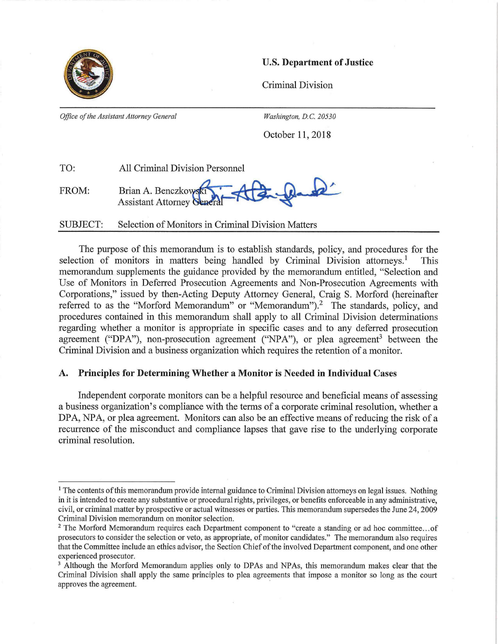

## U.S. Department of Justice

Criminal Division

*Office of the Assistant Attorney General* Washington, D.C. 20530

October 11,2018

| TO:   | <b>All Criminal Division Personnel</b> |
|-------|----------------------------------------|
| FROM: | Brian A. Benczkowski                   |

SUBJECT: Selection of Monitors in Criminal Division Matters

The purpose of this memorandum is to establish standards, policy, and procedures for the selection of monitors in matters being handled by Criminal Division attorneys.<sup>1</sup> This memorandum supplements the guidance provided by the memorandum entitled, "Selection and Use of Monitors in Deferred Prosecution Agreements and Non-Prosecution Agreements with Corporations," issued by then-Acting Deputy Attorney General, Craig S. Morford (hereinafter referred to as the "Morford Memorandum" or "Memorandum").<sup>2</sup> The standards, policy, and procedures contained in this memorandum shall apply to all Criminal Division determinations regarding whether a monitor is appropriate in specific cases and to any deferred prosecution agreement ("DPA"), non-prosecution agreement ("NPA"), or plea agreement<sup>3</sup> between the Criminal Division and a business organization which requires the retention of a monitor.

### **A. Principles for Determining Whether a Monitor is Needed in Individual Cases**

Independent corporate monitors can be a helpful resource and beneficial means of assessing a business organization's compliance with the terms of a corporate criminal resolution, whether a DPA, NPA, or plea agreement. Monitors can also be an effective means of reducing the risk of a recurrence of the misconduct and compliance lapses that gave rise to the underlying corporate criminal resolution.

<sup>&</sup>lt;sup>1</sup> The contents of this memorandum provide internal guidance to Criminal Division attorneys on legal issues. Nothing in it is intended to create any substantive or procedural rights, privileges, or benefits enforceable in any administrative, civil, or criminal matter by prospective or actual witnesses or parties. This memorandum supersedes the June 24,2009 Criminal Division memorandum on monitor selection.

<sup>&</sup>lt;sup>2</sup> The Morford Memorandum requires each Department component to "create a standing or ad hoc committee... of prosecutors to consider the selection or veto, as appropriate, of monitor candidates." The memorandum also requires that the Committee include an ethics advisor, the Section Chief of the involved Department component, and one other experienced prosecutor.

<sup>&</sup>lt;sup>3</sup> Although the Morford Memorandum applies only to DPAs and NPAs, this memorandum makes clear that the Criminal Division shall apply the same principles to plea agreements that impose a monitor so long as the court approves the agreement.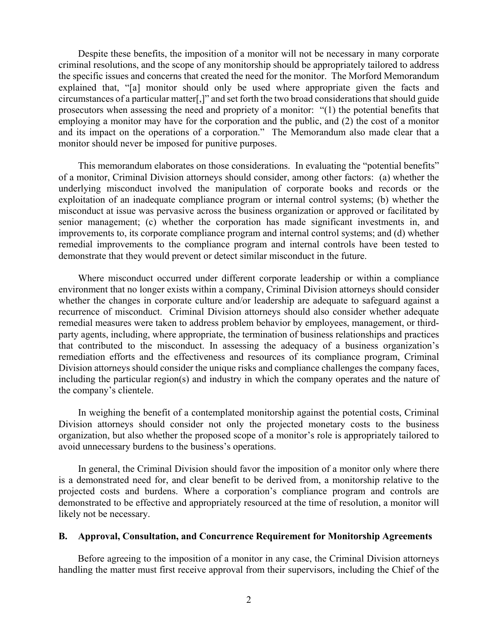Despite these benefits, the imposition of a monitor will not be necessary in many corporate criminal resolutions, and the scope of any monitorship should be appropriately tailored to address the specific issues and concerns that created the need for the monitor. The Morford Memorandum explained that, "[a] monitor should only be used where appropriate given the facts and circumstances of a particular matter[,]" and set forth the two broad considerations that should guide prosecutors when assessing the need and propriety of a monitor: "(1) the potential benefits that employing a monitor may have for the corporation and the public, and (2) the cost of a monitor and its impact on the operations of a corporation." The Memorandum also made clear that a monitor should never be imposed for punitive purposes.

This memorandum elaborates on those considerations. In evaluating the "potential benefits" of a monitor, Criminal Division attorneys should consider, among other factors: (a) whether the underlying misconduct involved the manipulation of corporate books and records or the exploitation of an inadequate compliance program or internal control systems; (b) whether the misconduct at issue was pervasive across the business organization or approved or facilitated by senior management; (c) whether the corporation has made significant investments in, and improvements to, its corporate compliance program and internal control systems; and (d) whether remedial improvements to the compliance program and internal controls have been tested to demonstrate that they would prevent or detect similar misconduct in the future.

Where misconduct occurred under different corporate leadership or within a compliance environment that no longer exists within a company, Criminal Division attorneys should consider whether the changes in corporate culture and/or leadership are adequate to safeguard against a recurrence of misconduct. Criminal Division attorneys should also consider whether adequate remedial measures were taken to address problem behavior by employees, management, or thirdparty agents, including, where appropriate, the termination of business relationships and practices that contributed to the misconduct. In assessing the adequacy of a business organization's remediation efforts and the effectiveness and resources of its compliance program, Criminal Division attorneys should consider the unique risks and compliance challenges the company faces, including the particular region(s) and industry in which the company operates and the nature of the company's clientele.

In weighing the benefit of a contemplated monitorship against the potential costs, Criminal Division attorneys should consider not only the projected monetary costs to the business organization, but also whether the proposed scope of a monitor's role is appropriately tailored to avoid unnecessary burdens to the business's operations.

In general, the Criminal Division should favor the imposition of a monitor only where there is a demonstrated need for, and clear benefit to be derived from, a monitorship relative to the projected costs and burdens. Where a corporation's compliance program and controls are demonstrated to be effective and appropriately resourced at the time of resolution, a monitor will likely not be necessary.

#### **B. Approval, Consultation, and Concurrence Requirement for Monitorship Agreements**

Before agreeing to the imposition of a monitor in any case, the Criminal Division attorneys handling the matter must first receive approval from their supervisors, including the Chief of the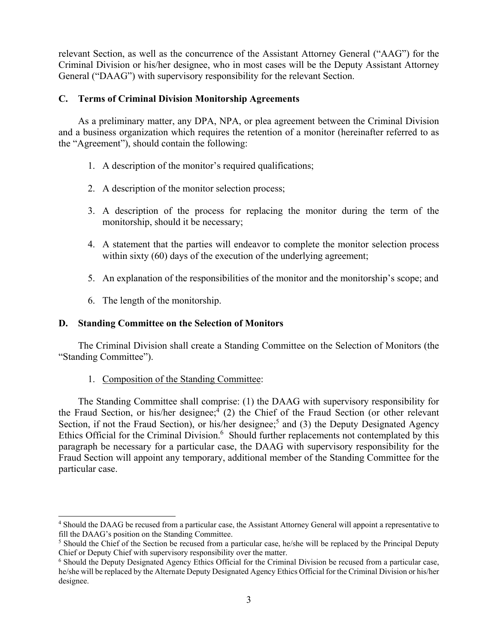relevant Section, as well as the concurrence of the Assistant Attorney General ("AAG") for the Criminal Division or his/her designee, who in most cases will be the Deputy Assistant Attorney General ("DAAG") with supervisory responsibility for the relevant Section.

# **C. Terms of Criminal Division Monitorship Agreements**

As a preliminary matter, any DPA, NPA, or plea agreement between the Criminal Division and a business organization which requires the retention of a monitor (hereinafter referred to as the "Agreement"), should contain the following:

- 1. A description of the monitor's required qualifications;
- 2. A description of the monitor selection process;
- 3. A description of the process for replacing the monitor during the term of the monitorship, should it be necessary;
- 4. A statement that the parties will endeavor to complete the monitor selection process within sixty (60) days of the execution of the underlying agreement;
- 5. An explanation of the responsibilities of the monitor and the monitorship's scope; and
- 6. The length of the monitorship.

 $\overline{\phantom{a}}$ 

### **D. Standing Committee on the Selection of Monitors**

The Criminal Division shall create a Standing Committee on the Selection of Monitors (the "Standing Committee").

1. Composition of the Standing Committee:

The Standing Committee shall comprise: (1) the DAAG with supervisory responsibility for the Fraud Section, or his/her designee; $4(2)$  the Chief of the Fraud Section (or other relevant Section, if not the Fraud Section), or his/her designee;<sup>5</sup> and (3) the Deputy Designated Agency Ethics Official for the Criminal Division.<sup>6</sup> Should further replacements not contemplated by this paragraph be necessary for a particular case, the DAAG with supervisory responsibility for the Fraud Section will appoint any temporary, additional member of the Standing Committee for the particular case.

<sup>4</sup> Should the DAAG be recused from a particular case, the Assistant Attorney General will appoint a representative to fill the DAAG's position on the Standing Committee.

<sup>&</sup>lt;sup>5</sup> Should the Chief of the Section be recused from a particular case, he/she will be replaced by the Principal Deputy Chief or Deputy Chief with supervisory responsibility over the matter.

<sup>6</sup> Should the Deputy Designated Agency Ethics Official for the Criminal Division be recused from a particular case, he/she will be replaced by the Alternate Deputy Designated Agency Ethics Official for the Criminal Division or his/her designee.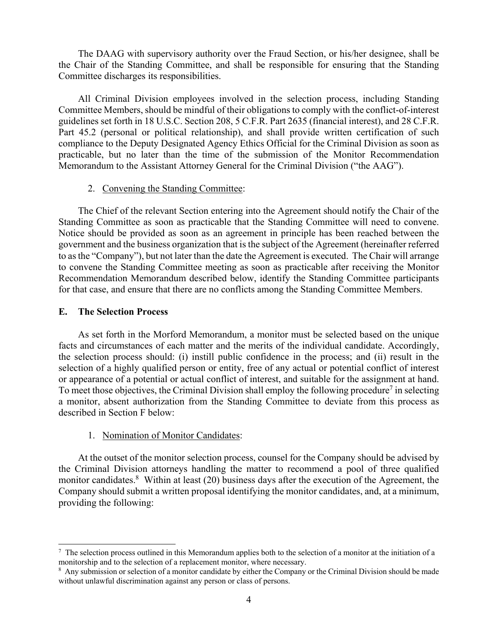The DAAG with supervisory authority over the Fraud Section, or his/her designee, shall be the Chair of the Standing Committee, and shall be responsible for ensuring that the Standing Committee discharges its responsibilities.

All Criminal Division employees involved in the selection process, including Standing Committee Members, should be mindful of their obligations to comply with the conflict-of-interest guidelines set forth in 18 U.S.C. Section 208, 5 C.F.R. Part 2635 (financial interest), and 28 C.F.R. Part 45.2 (personal or political relationship), and shall provide written certification of such compliance to the Deputy Designated Agency Ethics Official for the Criminal Division as soon as practicable, but no later than the time of the submission of the Monitor Recommendation Memorandum to the Assistant Attorney General for the Criminal Division ("the AAG").

### 2. Convening the Standing Committee:

The Chief of the relevant Section entering into the Agreement should notify the Chair of the Standing Committee as soon as practicable that the Standing Committee will need to convene. Notice should be provided as soon as an agreement in principle has been reached between the government and the business organization that is the subject of the Agreement (hereinafter referred to as the "Company"), but not later than the date the Agreement is executed. The Chair will arrange to convene the Standing Committee meeting as soon as practicable after receiving the Monitor Recommendation Memorandum described below, identify the Standing Committee participants for that case, and ensure that there are no conflicts among the Standing Committee Members.

### **E. The Selection Process**

 $\overline{\phantom{a}}$ 

As set forth in the Morford Memorandum, a monitor must be selected based on the unique facts and circumstances of each matter and the merits of the individual candidate. Accordingly, the selection process should: (i) instill public confidence in the process; and (ii) result in the selection of a highly qualified person or entity, free of any actual or potential conflict of interest or appearance of a potential or actual conflict of interest, and suitable for the assignment at hand. To meet those objectives, the Criminal Division shall employ the following procedure<sup>7</sup> in selecting a monitor, absent authorization from the Standing Committee to deviate from this process as described in Section F below:

### 1. Nomination of Monitor Candidates:

At the outset of the monitor selection process, counsel for the Company should be advised by the Criminal Division attorneys handling the matter to recommend a pool of three qualified monitor candidates.<sup>8</sup> Within at least (20) business days after the execution of the Agreement, the Company should submit a written proposal identifying the monitor candidates, and, at a minimum, providing the following:

 $^7$  The selection process outlined in this Memorandum applies both to the selection of a monitor at the initiation of a monitorship and to the selection of a replacement monitor, where necessary.

<sup>&</sup>lt;sup>8</sup> Any submission or selection of a monitor candidate by either the Company or the Criminal Division should be made without unlawful discrimination against any person or class of persons.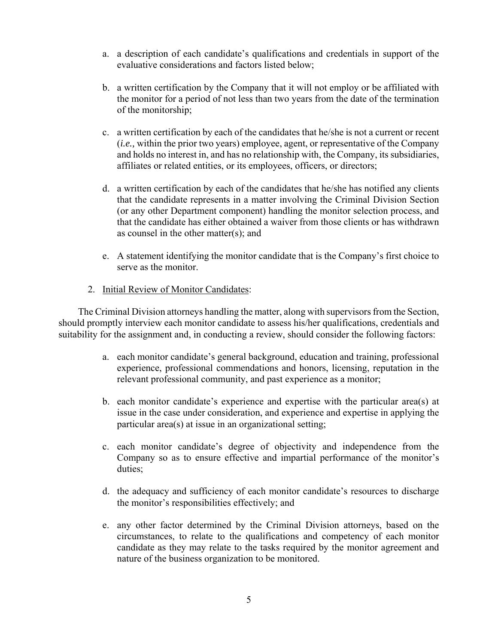- a. a description of each candidate's qualifications and credentials in support of the evaluative considerations and factors listed below;
- b. a written certification by the Company that it will not employ or be affiliated with the monitor for a period of not less than two years from the date of the termination of the monitorship;
- c. a written certification by each of the candidates that he/she is not a current or recent (*i.e.,* within the prior two years) employee, agent, or representative of the Company and holds no interest in, and has no relationship with, the Company, its subsidiaries, affiliates or related entities, or its employees, officers, or directors;
- d. a written certification by each of the candidates that he/she has notified any clients that the candidate represents in a matter involving the Criminal Division Section (or any other Department component) handling the monitor selection process, and that the candidate has either obtained a waiver from those clients or has withdrawn as counsel in the other matter(s); and
- e. A statement identifying the monitor candidate that is the Company's first choice to serve as the monitor.
- 2. Initial Review of Monitor Candidates:

The Criminal Division attorneys handling the matter, along with supervisors from the Section, should promptly interview each monitor candidate to assess his/her qualifications, credentials and suitability for the assignment and, in conducting a review, should consider the following factors:

- a. each monitor candidate's general background, education and training, professional experience, professional commendations and honors, licensing, reputation in the relevant professional community, and past experience as a monitor;
- b. each monitor candidate's experience and expertise with the particular area(s) at issue in the case under consideration, and experience and expertise in applying the particular area(s) at issue in an organizational setting;
- c. each monitor candidate's degree of objectivity and independence from the Company so as to ensure effective and impartial performance of the monitor's duties;
- d. the adequacy and sufficiency of each monitor candidate's resources to discharge the monitor's responsibilities effectively; and
- e. any other factor determined by the Criminal Division attorneys, based on the circumstances, to relate to the qualifications and competency of each monitor candidate as they may relate to the tasks required by the monitor agreement and nature of the business organization to be monitored.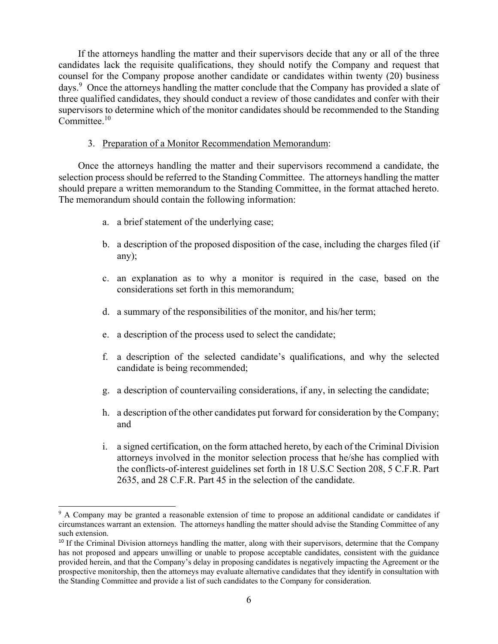If the attorneys handling the matter and their supervisors decide that any or all of the three candidates lack the requisite qualifications, they should notify the Company and request that counsel for the Company propose another candidate or candidates within twenty (20) business days.<sup>9</sup> Once the attorneys handling the matter conclude that the Company has provided a slate of three qualified candidates, they should conduct a review of those candidates and confer with their supervisors to determine which of the monitor candidates should be recommended to the Standing Committee<sup>10</sup>

### 3. Preparation of a Monitor Recommendation Memorandum:

Once the attorneys handling the matter and their supervisors recommend a candidate, the selection process should be referred to the Standing Committee. The attorneys handling the matter should prepare a written memorandum to the Standing Committee, in the format attached hereto. The memorandum should contain the following information:

a. a brief statement of the underlying case;

 $\overline{a}$ 

- b. a description of the proposed disposition of the case, including the charges filed (if any);
- c. an explanation as to why a monitor is required in the case, based on the considerations set forth in this memorandum;
- d. a summary of the responsibilities of the monitor, and his/her term;
- e. a description of the process used to select the candidate;
- f. a description of the selected candidate's qualifications, and why the selected candidate is being recommended;
- g. a description of countervailing considerations, if any, in selecting the candidate;
- h. a description of the other candidates put forward for consideration by the Company; and
- i. a signed certification, on the form attached hereto, by each of the Criminal Division attorneys involved in the monitor selection process that he/she has complied with the conflicts-of-interest guidelines set forth in 18 U.S.C Section 208, 5 C.F.R. Part 2635, and 28 C.F.R. Part 45 in the selection of the candidate.

<sup>&</sup>lt;sup>9</sup> A Company may be granted a reasonable extension of time to propose an additional candidate or candidates if circumstances warrant an extension. The attorneys handling the matter should advise the Standing Committee of any such extension.

<sup>&</sup>lt;sup>10</sup> If the Criminal Division attorneys handling the matter, along with their supervisors, determine that the Company has not proposed and appears unwilling or unable to propose acceptable candidates, consistent with the guidance provided herein, and that the Company's delay in proposing candidates is negatively impacting the Agreement or the prospective monitorship, then the attorneys may evaluate alternative candidates that they identify in consultation with the Standing Committee and provide a list of such candidates to the Company for consideration.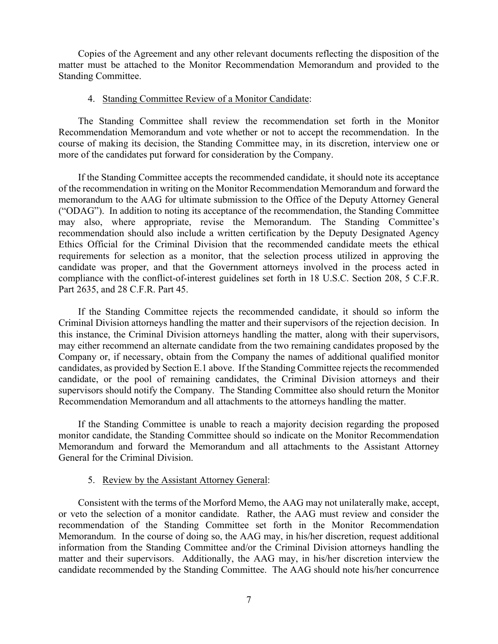Copies of the Agreement and any other relevant documents reflecting the disposition of the matter must be attached to the Monitor Recommendation Memorandum and provided to the Standing Committee.

### 4. Standing Committee Review of a Monitor Candidate:

The Standing Committee shall review the recommendation set forth in the Monitor Recommendation Memorandum and vote whether or not to accept the recommendation. In the course of making its decision, the Standing Committee may, in its discretion, interview one or more of the candidates put forward for consideration by the Company.

If the Standing Committee accepts the recommended candidate, it should note its acceptance of the recommendation in writing on the Monitor Recommendation Memorandum and forward the memorandum to the AAG for ultimate submission to the Office of the Deputy Attorney General ("ODAG"). In addition to noting its acceptance of the recommendation, the Standing Committee may also, where appropriate, revise the Memorandum. The Standing Committee's recommendation should also include a written certification by the Deputy Designated Agency Ethics Official for the Criminal Division that the recommended candidate meets the ethical requirements for selection as a monitor, that the selection process utilized in approving the candidate was proper, and that the Government attorneys involved in the process acted in compliance with the conflict-of-interest guidelines set forth in 18 U.S.C. Section 208, 5 C.F.R. Part 2635, and 28 C.F.R. Part 45.

If the Standing Committee rejects the recommended candidate, it should so inform the Criminal Division attorneys handling the matter and their supervisors of the rejection decision. In this instance, the Criminal Division attorneys handling the matter, along with their supervisors, may either recommend an alternate candidate from the two remaining candidates proposed by the Company or, if necessary, obtain from the Company the names of additional qualified monitor candidates, as provided by Section E.1 above. If the Standing Committee rejects the recommended candidate, or the pool of remaining candidates, the Criminal Division attorneys and their supervisors should notify the Company. The Standing Committee also should return the Monitor Recommendation Memorandum and all attachments to the attorneys handling the matter.

If the Standing Committee is unable to reach a majority decision regarding the proposed monitor candidate, the Standing Committee should so indicate on the Monitor Recommendation Memorandum and forward the Memorandum and all attachments to the Assistant Attorney General for the Criminal Division.

#### 5. Review by the Assistant Attorney General:

Consistent with the terms of the Morford Memo, the AAG may not unilaterally make, accept, or veto the selection of a monitor candidate. Rather, the AAG must review and consider the recommendation of the Standing Committee set forth in the Monitor Recommendation Memorandum. In the course of doing so, the AAG may, in his/her discretion, request additional information from the Standing Committee and/or the Criminal Division attorneys handling the matter and their supervisors. Additionally, the AAG may, in his/her discretion interview the candidate recommended by the Standing Committee. The AAG should note his/her concurrence